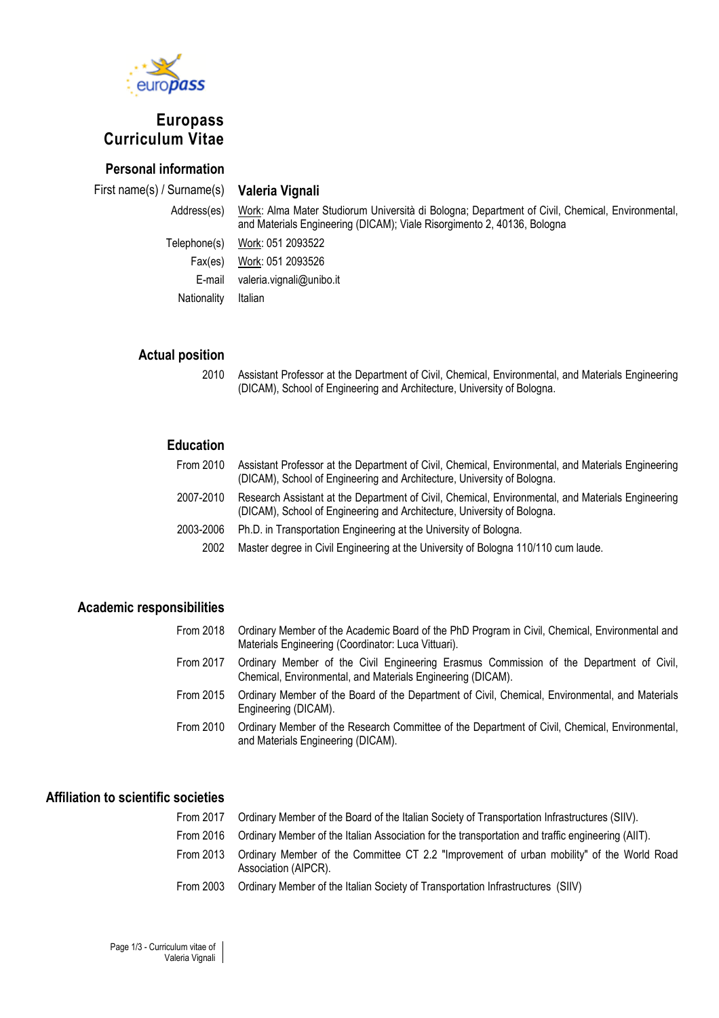

# **Europass Curriculum Vitae**

# **Personal information**

First name(s) / Surname(s) **Valeria Vignali**

Address(es) Work: Alma Mater Studiorum Università di Bologna; Department of Civil, Chemical, Environmental, and Materials Engineering (DICAM); Viale Risorgimento 2, 40136, Bologna

Telephone(s) Work: 051 2093522 Fax(es) Work: 051 2093526 E-mail valeria.vignali@unibo.it Nationality Italian

### **Actual position**

2010 Assistant Professor at the Department of Civil, Chemical, Environmental, and Materials Engineering (DICAM), School of Engineering and Architecture, University of Bologna.

# **Education**

| From 2010 | Assistant Professor at the Department of Civil, Chemical, Environmental, and Materials Engineering<br>(DICAM), School of Engineering and Architecture, University of Bologna. |
|-----------|-------------------------------------------------------------------------------------------------------------------------------------------------------------------------------|
| 2007-2010 | Research Assistant at the Department of Civil, Chemical, Environmental, and Materials Engineering<br>(DICAM), School of Engineering and Architecture, University of Bologna.  |
| 2003-2006 | Ph.D. in Transportation Engineering at the University of Bologna.                                                                                                             |
| 2002      | Master degree in Civil Engineering at the University of Bologna 110/110 cum laude.                                                                                            |

#### **Academic responsibilities**

| From 2018 | Ordinary Member of the Academic Board of the PhD Program in Civil, Chemical, Environmental and<br>Materials Engineering (Coordinator: Luca Vittuari).  |
|-----------|--------------------------------------------------------------------------------------------------------------------------------------------------------|
| From 2017 | Ordinary Member of the Civil Engineering Erasmus Commission of the Department of Civil,<br>Chemical, Environmental, and Materials Engineering (DICAM). |
| From 2015 | Ordinary Member of the Board of the Department of Civil, Chemical, Environmental, and Materials<br>Engineering (DICAM).                                |
| From 2010 | Ordinary Member of the Research Committee of the Department of Civil, Chemical, Environmental,<br>and Materials Engineering (DICAM).                   |

# **Affiliation to scientific societies**

| From 2017 | Ordinary Member of the Board of the Italian Society of Transportation Infrastructures (SIIV).                     |
|-----------|-------------------------------------------------------------------------------------------------------------------|
| From 2016 | Ordinary Member of the Italian Association for the transportation and traffic engineering (AIIT).                 |
| From 2013 | Ordinary Member of the Committee CT 2.2 "Improvement of urban mobility" of the World Road<br>Association (AIPCR). |
| From 2003 | Ordinary Member of the Italian Society of Transportation Infrastructures (SIIV)                                   |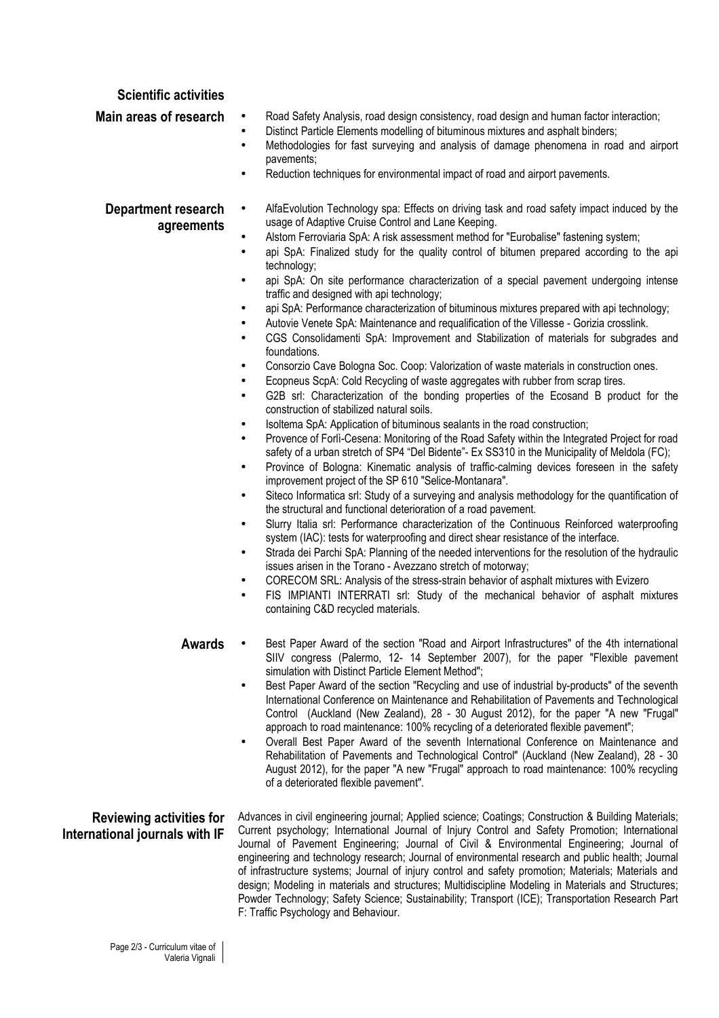#### **Scientific activities**

- **Main areas of research** Road Safety Analysis, road design consistency, road design and human factor interaction;
	- Distinct Particle Elements modelling of bituminous mixtures and asphalt binders;
	- Methodologies for fast surveying and analysis of damage phenomena in road and airport pavements;
	- Reduction techniques for environmental impact of road and airport pavements.

#### **Department research agreements**

- AlfaEvolution Technology spa: Effects on driving task and road safety impact induced by the usage of Adaptive Cruise Control and Lane Keeping.
	- Alstom Ferroviaria SpA: A risk assessment method for "Eurobalise" fastening system;
	- api SpA: Finalized study for the quality control of bitumen prepared according to the api technology;
	- api SpA: On site performance characterization of a special pavement undergoing intense traffic and designed with api technology;
	- api SpA: Performance characterization of bituminous mixtures prepared with api technology;
	- Autovie Venete SpA: Maintenance and requalification of the Villesse Gorizia crosslink.
	- CGS Consolidamenti SpA: Improvement and Stabilization of materials for subgrades and foundations.
	- Consorzio Cave Bologna Soc. Coop: Valorization of waste materials in construction ones.
	- Ecopneus ScpA: Cold Recycling of waste aggregates with rubber from scrap tires.
	- G2B srl: Characterization of the bonding properties of the Ecosand B product for the construction of stabilized natural soils.
	- Isoltema SpA: Application of bituminous sealants in the road construction;
	- Provence of Forlì-Cesena: Monitoring of the Road Safety within the Integrated Project for road safety of a urban stretch of SP4 "Del Bidente"- Ex SS310 in the Municipality of Meldola (FC);
	- Province of Bologna: Kinematic analysis of traffic-calming devices foreseen in the safety improvement project of the SP 610 "Selice-Montanara".
	- Siteco Informatica srl: Study of a surveying and analysis methodology for the quantification of the structural and functional deterioration of a road pavement.
	- Slurry Italia srl: Performance characterization of the Continuous Reinforced waterproofing system (IAC): tests for waterproofing and direct shear resistance of the interface.
	- Strada dei Parchi SpA: Planning of the needed interventions for the resolution of the hydraulic issues arisen in the Torano - Avezzano stretch of motorway;
	- CORECOM SRL: Analysis of the stress-strain behavior of asphalt mixtures with Evizero
	- FIS IMPIANTI INTERRATI srl: Study of the mechanical behavior of asphalt mixtures containing C&D recycled materials.
- **Awards**  Best Paper Award of the section "Road and Airport Infrastructures" of the 4th international SIIV congress (Palermo, 12- 14 September 2007), for the paper "Flexible pavement simulation with Distinct Particle Element Method";
	- Best Paper Award of the section "Recycling and use of industrial by-products" of the seventh International Conference on Maintenance and Rehabilitation of Pavements and Technological Control (Auckland (New Zealand), 28 - 30 August 2012), for the paper "A new "Frugal" approach to road maintenance: 100% recycling of a deteriorated flexible pavement";
	- Overall Best Paper Award of the seventh International Conference on Maintenance and Rehabilitation of Pavements and Technological Control" (Auckland (New Zealand), 28 - 30 August 2012), for the paper "A new "Frugal" approach to road maintenance: 100% recycling of a deteriorated flexible pavement".

### **Reviewing activities for International journals with IF**

Advances in civil engineering journal; Applied science; Coatings; Construction & Building Materials; Current psychology; International Journal of Injury Control and Safety Promotion; International Journal of Pavement Engineering; Journal of Civil & Environmental Engineering; Journal of engineering and technology research; Journal of environmental research and public health; Journal of infrastructure systems; Journal of injury control and safety promotion; Materials; Materials and design; Modeling in materials and structures; Multidiscipline Modeling in Materials and Structures; Powder Technology; Safety Science; Sustainability; Transport (ICE); Transportation Research Part F: Traffic Psychology and Behaviour.